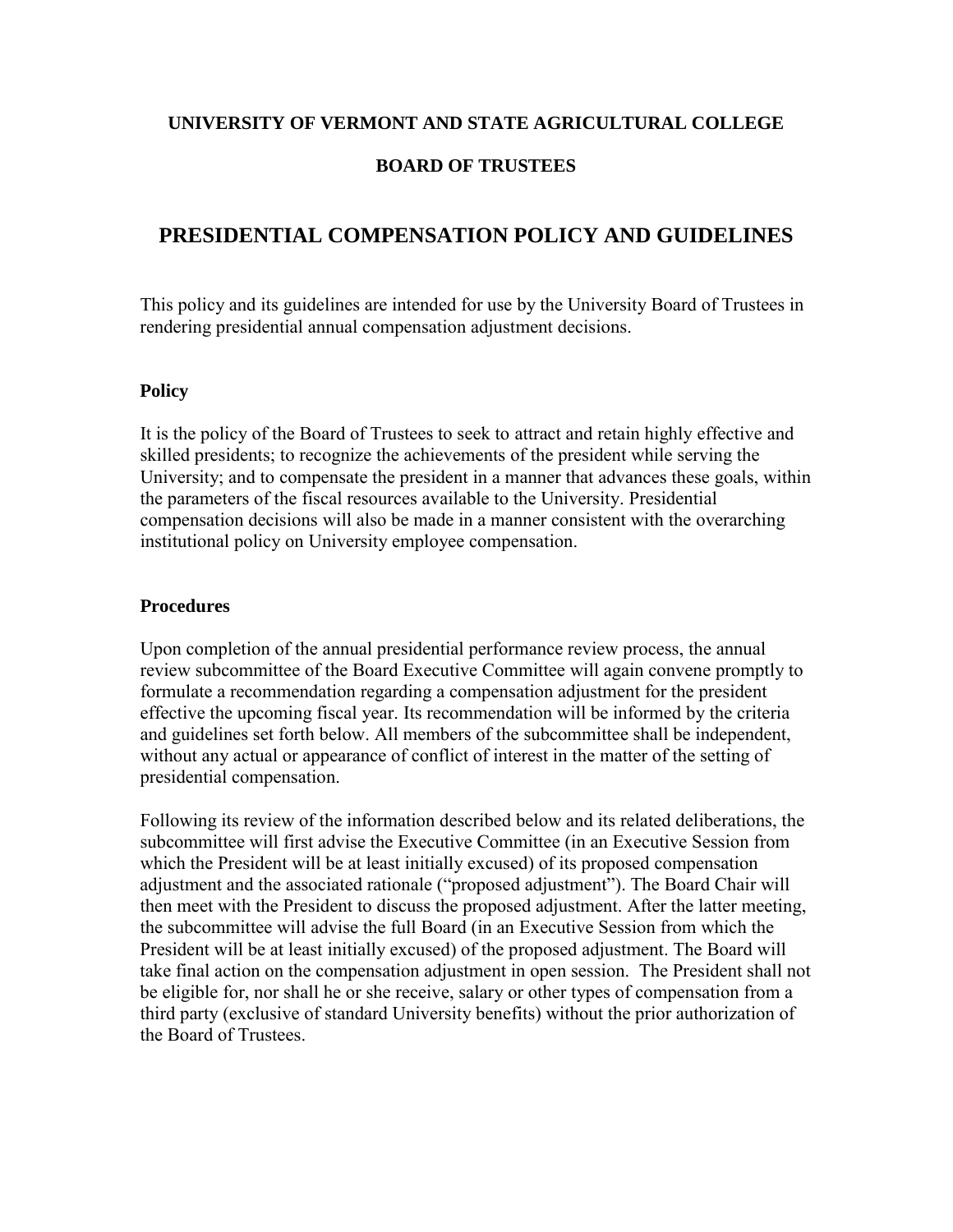#### **UNIVERSITY OF VERMONT AND STATE AGRICULTURAL COLLEGE**

### **BOARD OF TRUSTEES**

# **PRESIDENTIAL COMPENSATION POLICY AND GUIDELINES**

This policy and its guidelines are intended for use by the University Board of Trustees in rendering presidential annual compensation adjustment decisions.

#### **Policy**

It is the policy of the Board of Trustees to seek to attract and retain highly effective and skilled presidents; to recognize the achievements of the president while serving the University; and to compensate the president in a manner that advances these goals, within the parameters of the fiscal resources available to the University. Presidential compensation decisions will also be made in a manner consistent with the overarching institutional policy on University employee compensation.

#### **Procedures**

Upon completion of the annual presidential performance review process, the annual review subcommittee of the Board Executive Committee will again convene promptly to formulate a recommendation regarding a compensation adjustment for the president effective the upcoming fiscal year. Its recommendation will be informed by the criteria and guidelines set forth below. All members of the subcommittee shall be independent, without any actual or appearance of conflict of interest in the matter of the setting of presidential compensation.

Following its review of the information described below and its related deliberations, the subcommittee will first advise the Executive Committee (in an Executive Session from which the President will be at least initially excused) of its proposed compensation adjustment and the associated rationale ("proposed adjustment"). The Board Chair will then meet with the President to discuss the proposed adjustment. After the latter meeting, the subcommittee will advise the full Board (in an Executive Session from which the President will be at least initially excused) of the proposed adjustment. The Board will take final action on the compensation adjustment in open session. The President shall not be eligible for, nor shall he or she receive, salary or other types of compensation from a third party (exclusive of standard University benefits) without the prior authorization of the Board of Trustees.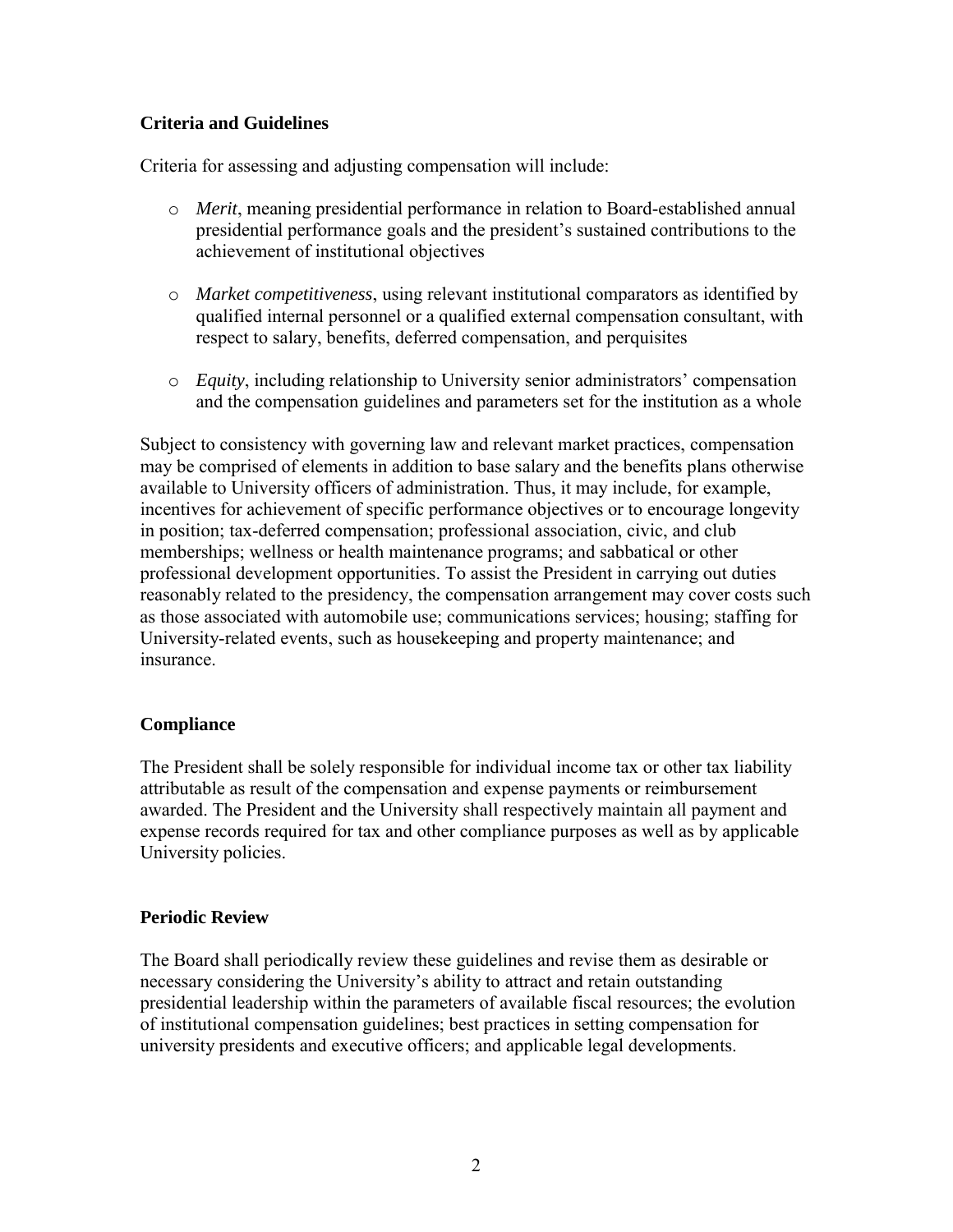## **Criteria and Guidelines**

Criteria for assessing and adjusting compensation will include:

- o *Merit*, meaning presidential performance in relation to Board-established annual presidential performance goals and the president's sustained contributions to the achievement of institutional objectives
- o *Market competitiveness*, using relevant institutional comparators as identified by qualified internal personnel or a qualified external compensation consultant, with respect to salary, benefits, deferred compensation, and perquisites
- o *Equity*, including relationship to University senior administrators' compensation and the compensation guidelines and parameters set for the institution as a whole

Subject to consistency with governing law and relevant market practices, compensation may be comprised of elements in addition to base salary and the benefits plans otherwise available to University officers of administration. Thus, it may include, for example, incentives for achievement of specific performance objectives or to encourage longevity in position; tax-deferred compensation; professional association, civic, and club memberships; wellness or health maintenance programs; and sabbatical or other professional development opportunities. To assist the President in carrying out duties reasonably related to the presidency, the compensation arrangement may cover costs such as those associated with automobile use; communications services; housing; staffing for University-related events, such as housekeeping and property maintenance; and insurance.

## **Compliance**

The President shall be solely responsible for individual income tax or other tax liability attributable as result of the compensation and expense payments or reimbursement awarded. The President and the University shall respectively maintain all payment and expense records required for tax and other compliance purposes as well as by applicable University policies.

## **Periodic Review**

The Board shall periodically review these guidelines and revise them as desirable or necessary considering the University's ability to attract and retain outstanding presidential leadership within the parameters of available fiscal resources; the evolution of institutional compensation guidelines; best practices in setting compensation for university presidents and executive officers; and applicable legal developments.